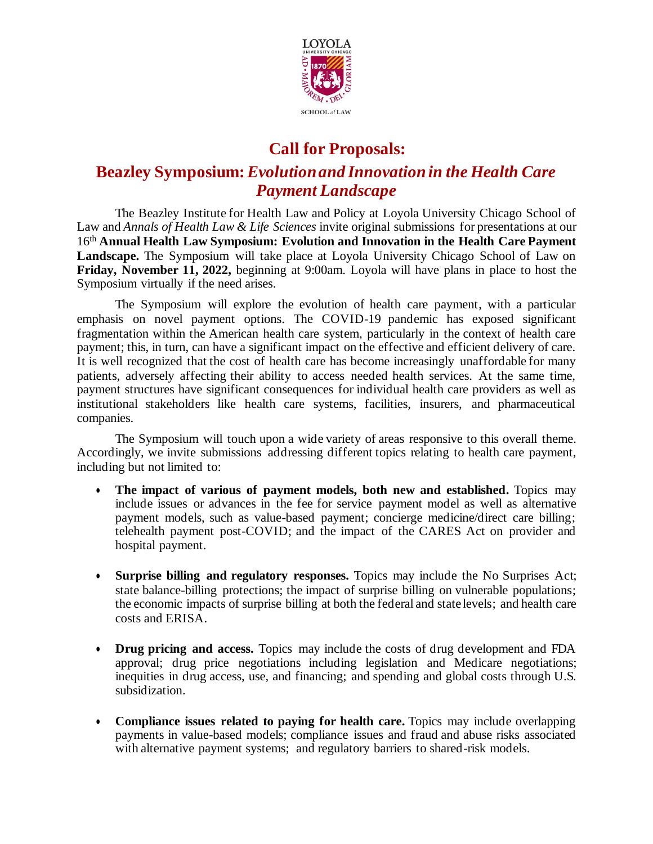

## **Call for Proposals:**

## **Beazley Symposium:** *Evolution and Innovation in the Health Care Payment Landscape*

The Beazley Institute for Health Law and Policy at Loyola University Chicago School of Law and *Annals of Health Law & Life Sciences* invite original submissions for presentations at our 16<sup>th</sup> Annual Health Law Symposium: Evolution and Innovation in the Health Care Payment **Landscape.** The Symposium will take place at Loyola University Chicago School of Law on **Friday, November 11, 2022,** beginning at 9:00am. Loyola will have plans in place to host the Symposium virtually if the need arises.

The Symposium will explore the evolution of health care payment, with a particular emphasis on novel payment options. The COVID-19 pandemic has exposed significant fragmentation within the American health care system, particularly in the context of health care payment; this, in turn, can have a significant impact on the effective and efficient delivery of care. It is well recognized that the cost of health care has become increasingly unaffordable for many patients, adversely affecting their ability to access needed health services. At the same time, payment structures have significant consequences for individual health care providers as well as institutional stakeholders like health care systems, facilities, insurers, and pharmaceutical companies.

The Symposium will touch upon a wide variety of areas responsive to this overall theme. Accordingly, we invite submissions addressing different topics relating to health care payment, including but not limited to:

- **The impact of various of payment models, both new and established.** Topics may include issues or advances in the fee for service payment model as well as alternative payment models, such as value-based payment; concierge medicine/direct care billing; telehealth payment post-COVID; and the impact of the CARES Act on provider and hospital payment.
- **Surprise billing and regulatory responses.** Topics may include the No Surprises Act; state balance-billing protections; the impact of surprise billing on vulnerable populations; the economic impacts of surprise billing at both the federal and state levels; and health care costs and ERISA.
- **Drug pricing and access.** Topics may include the costs of drug development and FDA approval; drug price negotiations including legislation and Medicare negotiations; inequities in drug access, use, and financing; and spending and global costs through U.S. subsidization.
- **Compliance issues related to paying for health care.** Topics may include overlapping payments in value-based models; compliance issues and fraud and abuse risks associated with alternative payment systems; and regulatory barriers to shared-risk models.